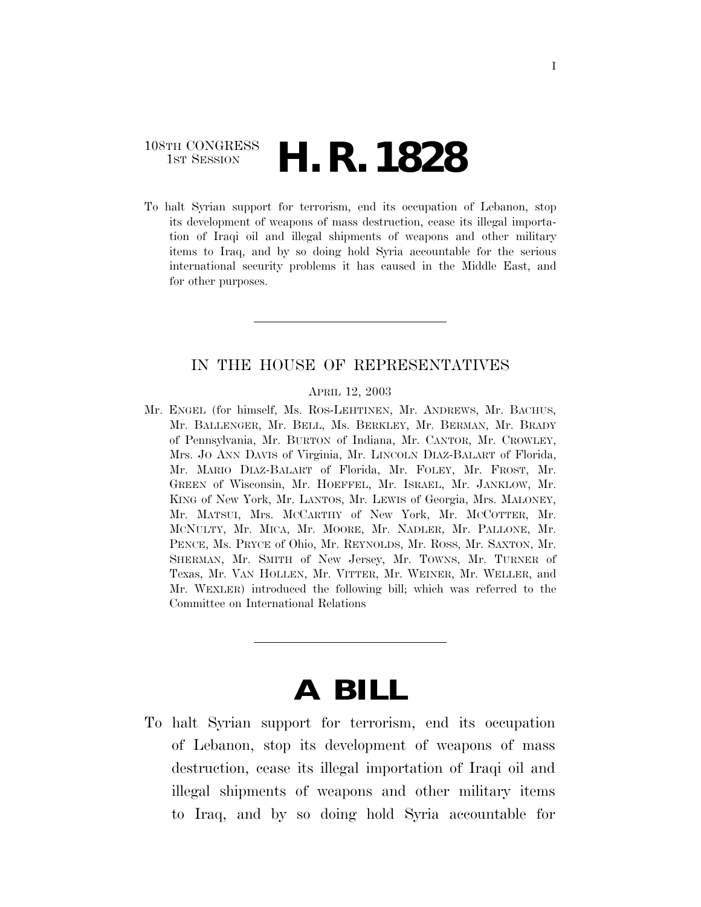### 108TH CONGRESS **1st Session H. R. 1828**

To halt Syrian support for terrorism, end its occupation of Lebanon, stop its development of weapons of mass destruction, cease its illegal importation of Iraqi oil and illegal shipments of weapons and other military items to Iraq, and by so doing hold Syria accountable for the serious international security problems it has caused in the Middle East, and for other purposes.

#### IN THE HOUSE OF REPRESENTATIVES

#### APRIL 12, 2003

Mr. ENGEL (for himself, Ms. ROS-LEHTINEN, Mr. ANDREWS, Mr. BACHUS, Mr. BALLENGER, Mr. BELL, Ms. BERKLEY, Mr. BERMAN, Mr. BRADY of Pennsylvania, Mr. BURTON of Indiana, Mr. CANTOR, Mr. CROWLEY, Mrs. JO ANN DAVIS of Virginia, Mr. LINCOLN DIAZ-BALART of Florida, Mr. MARIO DIAZ-BALART of Florida, Mr. FOLEY, Mr. FROST, Mr. GREEN of Wisconsin, Mr. HOEFFEL, Mr. ISRAEL, Mr. JANKLOW, Mr. KING of New York, Mr. LANTOS, Mr. LEWIS of Georgia, Mrs. MALONEY, Mr. MATSUI, Mrs. MCCARTHY of New York, Mr. MCCOTTER, Mr. MCNULTY, Mr. MICA, Mr. MOORE, Mr. NADLER, Mr. PALLONE, Mr. PENCE, Ms. PRYCE of Ohio, Mr. REYNOLDS, Mr. ROSS, Mr. SAXTON, Mr. SHERMAN, Mr. SMITH of New Jersey, Mr. TOWNS, Mr. TURNER of Texas, Mr. VAN HOLLEN, Mr. VITTER, Mr. WEINER, Mr. WELLER, and Mr. WEXLER) introduced the following bill; which was referred to the Committee on International Relations

# **A BILL**

To halt Syrian support for terrorism, end its occupation of Lebanon, stop its development of weapons of mass destruction, cease its illegal importation of Iraqi oil and illegal shipments of weapons and other military items to Iraq, and by so doing hold Syria accountable for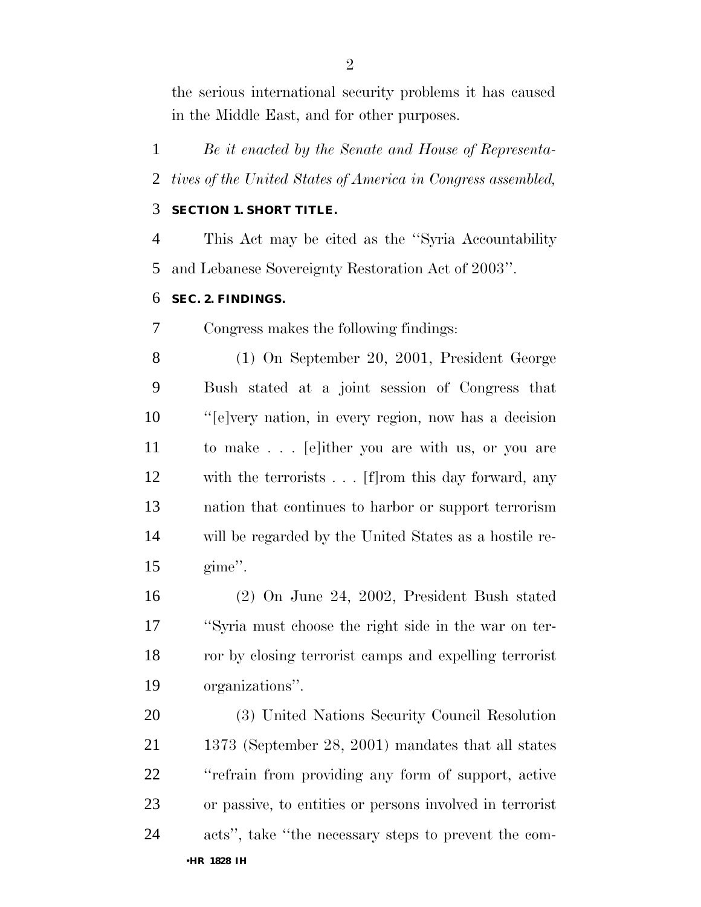the serious international security problems it has caused in the Middle East, and for other purposes.

 *Be it enacted by the Senate and House of Representa-tives of the United States of America in Congress assembled,*

#### **SECTION 1. SHORT TITLE.**

 This Act may be cited as the ''Syria Accountability and Lebanese Sovereignty Restoration Act of 2003''.

#### **SEC. 2. FINDINGS.**

Congress makes the following findings:

 (1) On September 20, 2001, President George Bush stated at a joint session of Congress that ''[e]very nation, in every region, now has a decision to make . . . [e]ither you are with us, or you are with the terrorists . . . [f]rom this day forward, any nation that continues to harbor or support terrorism will be regarded by the United States as a hostile re-gime''.

 (2) On June 24, 2002, President Bush stated ''Syria must choose the right side in the war on ter- ror by closing terrorist camps and expelling terrorist organizations''.

 (3) United Nations Security Council Resolution 1373 (September 28, 2001) mandates that all states ''refrain from providing any form of support, active or passive, to entities or persons involved in terrorist acts'', take ''the necessary steps to prevent the com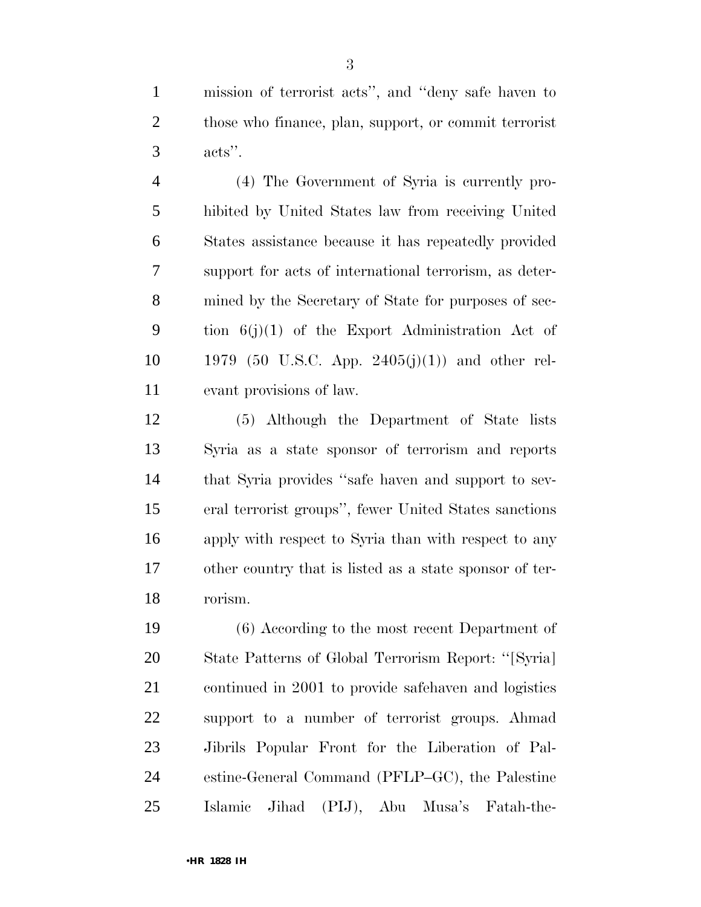mission of terrorist acts'', and ''deny safe haven to those who finance, plan, support, or commit terrorist acts''.

 (4) The Government of Syria is currently pro- hibited by United States law from receiving United States assistance because it has repeatedly provided support for acts of international terrorism, as deter- mined by the Secretary of State for purposes of sec- tion 6(j)(1) of the Export Administration Act of 10 1979 (50 U.S.C. App. 2405(j)(1)) and other rel-evant provisions of law.

 (5) Although the Department of State lists Syria as a state sponsor of terrorism and reports that Syria provides ''safe haven and support to sev- eral terrorist groups'', fewer United States sanctions apply with respect to Syria than with respect to any other country that is listed as a state sponsor of ter-rorism.

 (6) According to the most recent Department of State Patterns of Global Terrorism Report: ''[Syria] continued in 2001 to provide safehaven and logistics support to a number of terrorist groups. Ahmad Jibrils Popular Front for the Liberation of Pal- estine-General Command (PFLP–GC), the Palestine Islamic Jihad (PIJ), Abu Musa's Fatah-the-

•**HR 1828 IH**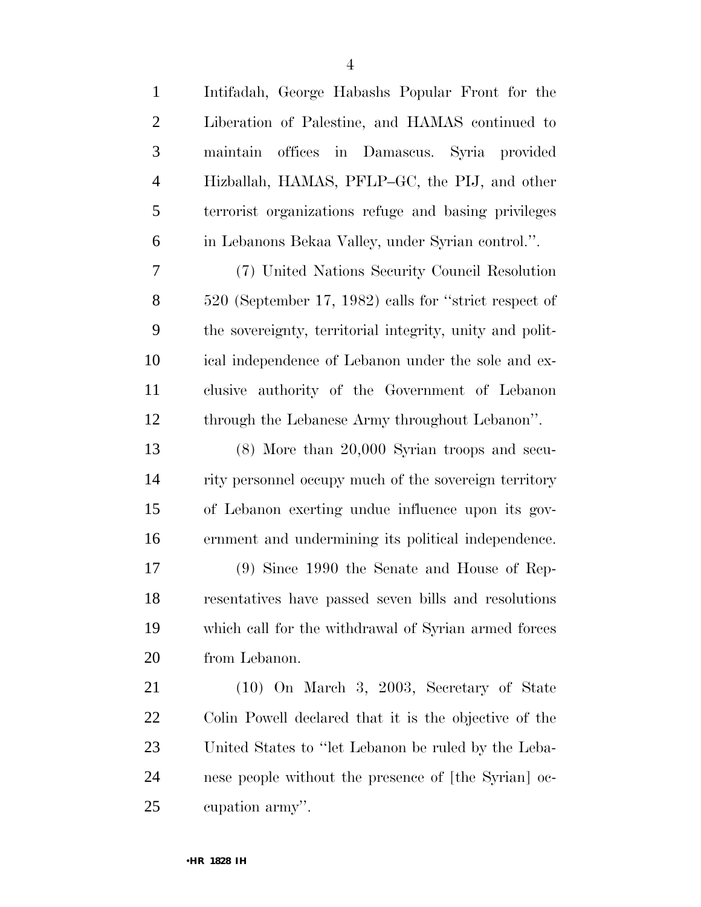| $\mathbf{1}$   | Intifadah, George Habashs Popular Front for the          |
|----------------|----------------------------------------------------------|
| $\mathbf{2}$   | Liberation of Palestine, and HAMAS continued to          |
| 3              | offices in Damascus. Syria provided<br>maintain          |
| $\overline{4}$ | Hizballah, HAMAS, PFLP-GC, the PIJ, and other            |
| 5              | terrorist organizations refuge and basing privileges     |
| 6              | in Lebanons Bekaa Valley, under Syrian control.".        |
| 7              | (7) United Nations Security Council Resolution           |
| 8              | 520 (September 17, 1982) calls for "strict respect of    |
| 9              | the sovereignty, territorial integrity, unity and polit- |
| 10             | ical independence of Lebanon under the sole and ex-      |
| 11             | clusive authority of the Government of Lebanon           |
| 12             | through the Lebanese Army throughout Lebanon".           |
| 13             | $(8)$ More than $20,000$ Syrian troops and secu-         |
| 14             | rity personnel occupy much of the sovereign territory    |
| 15             | of Lebanon exerting undue influence upon its gov-        |
| 16             | ernment and undermining its political independence.      |
| 17             | $(9)$ Since 1990 the Senate and House of Rep-            |
| 18             | resentatives have passed seven bills and resolutions     |
| 19             | which call for the withdrawal of Syrian armed forces     |
| 20             | from Lebanon.                                            |
| 21             | $(10)$ On March 3, 2003, Secretary of State              |
| 22             | Colin Powell declared that it is the objective of the    |
| 23             | United States to "let Lebanon be ruled by the Leba-      |
| 24             | nese people without the presence of [the Syrian] oc-     |
| 25             | cupation army".                                          |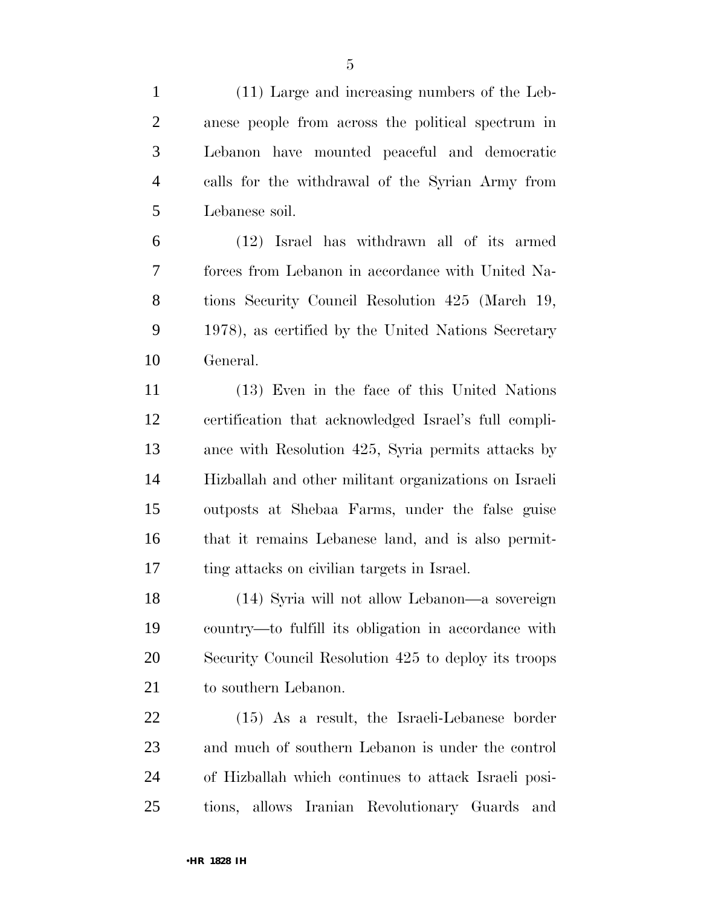(11) Large and increasing numbers of the Leb- anese people from across the political spectrum in Lebanon have mounted peaceful and democratic calls for the withdrawal of the Syrian Army from Lebanese soil. (12) Israel has withdrawn all of its armed forces from Lebanon in accordance with United Na- tions Security Council Resolution 425 (March 19, 1978), as certified by the United Nations Secretary General. (13) Even in the face of this United Nations certification that acknowledged Israel's full compli- ance with Resolution 425, Syria permits attacks by Hizballah and other militant organizations on Israeli

 outposts at Shebaa Farms, under the false guise that it remains Lebanese land, and is also permit-ting attacks on civilian targets in Israel.

 (14) Syria will not allow Lebanon—a sovereign country—to fulfill its obligation in accordance with Security Council Resolution 425 to deploy its troops 21 to southern Lebanon.

 (15) As a result, the Israeli-Lebanese border and much of southern Lebanon is under the control of Hizballah which continues to attack Israeli posi-tions, allows Iranian Revolutionary Guards and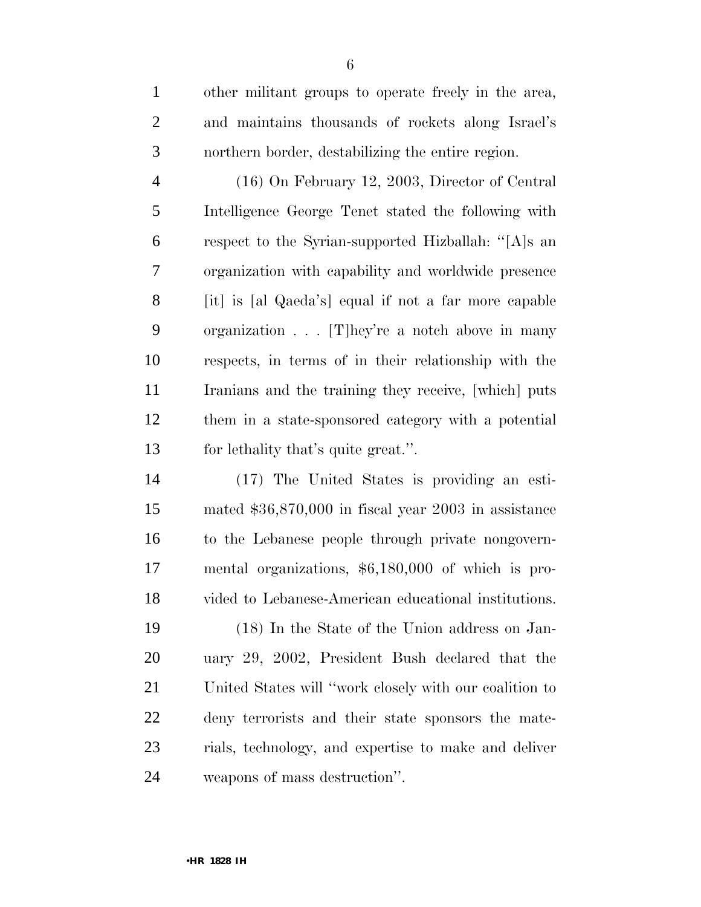| $\mathbf{1}$   | other militant groups to operate freely in the area,   |
|----------------|--------------------------------------------------------|
| $\overline{2}$ | and maintains thousands of rockets along Israel's      |
| 3              | northern border, destabilizing the entire region.      |
| $\overline{4}$ | $(16)$ On February 12, 2003, Director of Central       |
| 5              | Intelligence George Tenet stated the following with    |
| 6              | respect to the Syrian-supported Hizballah: "[A]s an    |
| 7              | organization with capability and worldwide presence    |
| 8              | [it] is [al Qaeda's] equal if not a far more capable   |
| 9              | organization $\ldots$ [T] hey're a notch above in many |
| 10             | respects, in terms of in their relationship with the   |
| 11             | Iranians and the training they receive, [which] puts   |
| 12             | them in a state-sponsored category with a potential    |
| 13             | for lethality that's quite great.".                    |
| 14             | (17) The United States is providing an esti-           |
| 15             | mated $$36,870,000$ in fiscal year 2003 in assistance  |
|                |                                                        |

 to the Lebanese people through private nongovern- mental organizations, \$6,180,000 of which is pro-vided to Lebanese-American educational institutions.

 (18) In the State of the Union address on Jan- uary 29, 2002, President Bush declared that the United States will ''work closely with our coalition to deny terrorists and their state sponsors the mate- rials, technology, and expertise to make and deliver weapons of mass destruction''.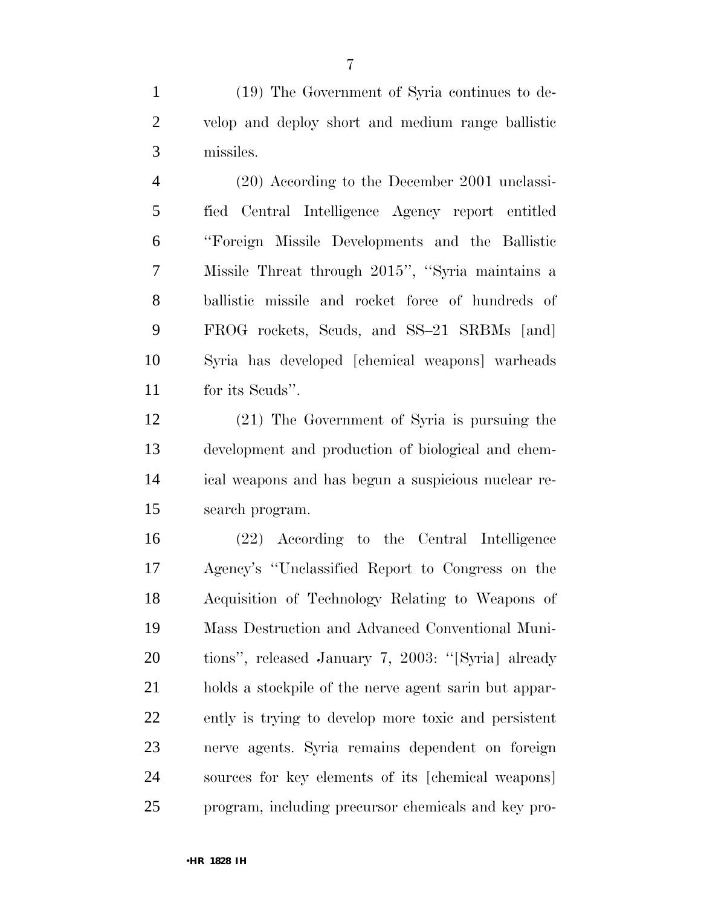(19) The Government of Syria continues to de- velop and deploy short and medium range ballistic missiles.

 (20) According to the December 2001 unclassi- fied Central Intelligence Agency report entitled ''Foreign Missile Developments and the Ballistic Missile Threat through 2015'', ''Syria maintains a ballistic missile and rocket force of hundreds of FROG rockets, Scuds, and SS–21 SRBMs [and] Syria has developed [chemical weapons] warheads for its Scuds''.

 (21) The Government of Syria is pursuing the development and production of biological and chem- ical weapons and has begun a suspicious nuclear re-search program.

 (22) According to the Central Intelligence Agency's ''Unclassified Report to Congress on the Acquisition of Technology Relating to Weapons of Mass Destruction and Advanced Conventional Muni- tions'', released January 7, 2003: ''[Syria] already holds a stockpile of the nerve agent sarin but appar- ently is trying to develop more toxic and persistent nerve agents. Syria remains dependent on foreign sources for key elements of its [chemical weapons] program, including precursor chemicals and key pro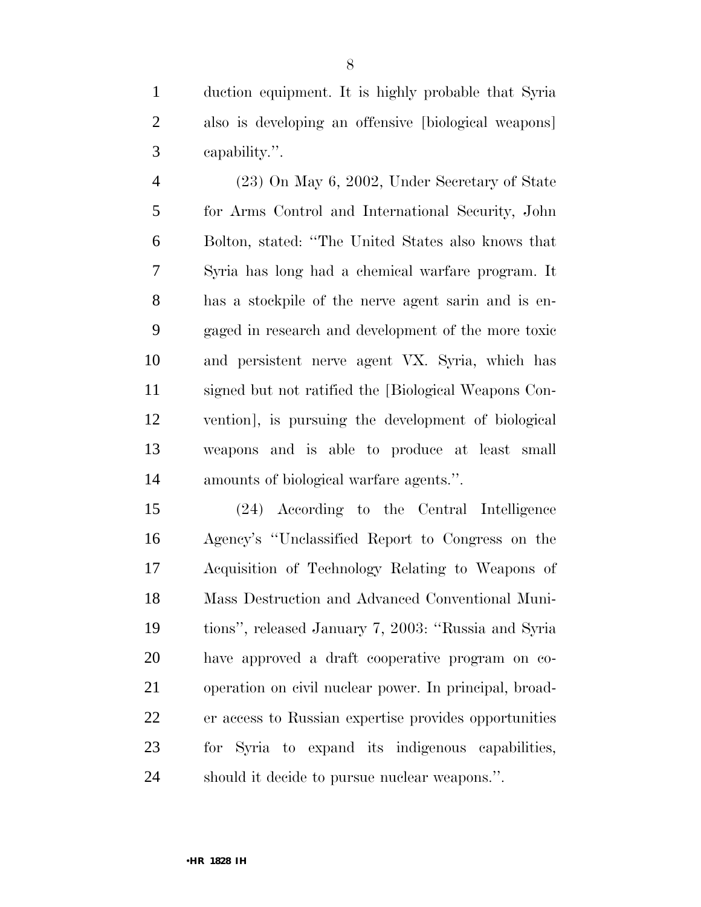duction equipment. It is highly probable that Syria also is developing an offensive [biological weapons] capability.''.

 (23) On May 6, 2002, Under Secretary of State for Arms Control and International Security, John Bolton, stated: ''The United States also knows that Syria has long had a chemical warfare program. It has a stockpile of the nerve agent sarin and is en- gaged in research and development of the more toxic and persistent nerve agent VX. Syria, which has signed but not ratified the [Biological Weapons Con- vention], is pursuing the development of biological weapons and is able to produce at least small amounts of biological warfare agents.''.

 (24) According to the Central Intelligence Agency's ''Unclassified Report to Congress on the Acquisition of Technology Relating to Weapons of Mass Destruction and Advanced Conventional Muni- tions'', released January 7, 2003: ''Russia and Syria have approved a draft cooperative program on co- operation on civil nuclear power. In principal, broad- er access to Russian expertise provides opportunities for Syria to expand its indigenous capabilities, should it decide to pursue nuclear weapons.''.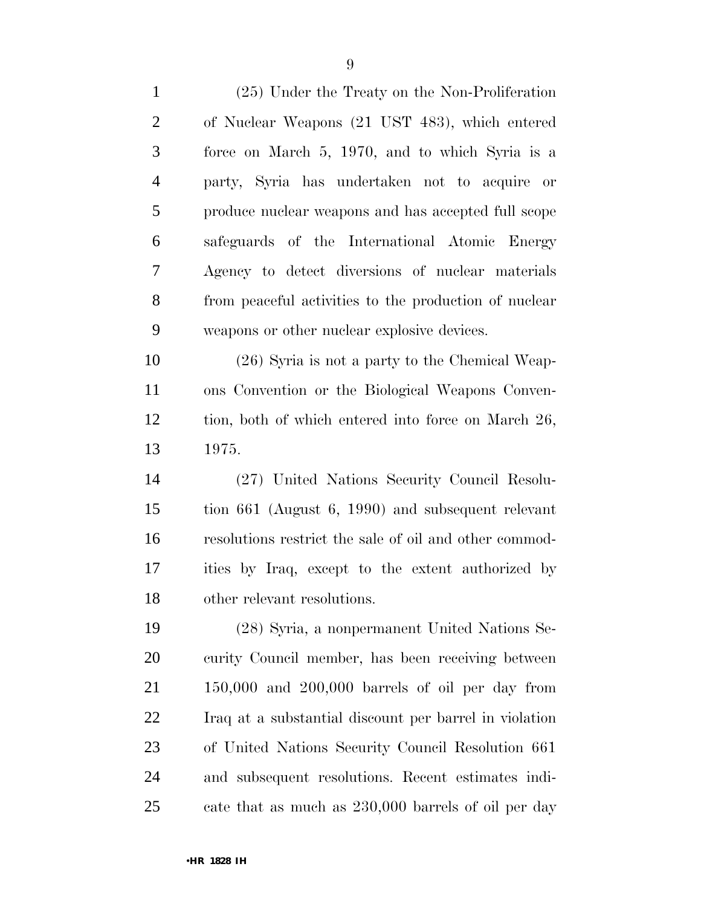| $\mathbf{1}$   | (25) Under the Treaty on the Non-Proliferation         |
|----------------|--------------------------------------------------------|
| $\mathbf{2}$   | of Nuclear Weapons (21 UST 483), which entered         |
| 3              | force on March 5, 1970, and to which Syria is a        |
| $\overline{4}$ | party, Syria has undertaken not to acquire or          |
| 5              | produce nuclear weapons and has accepted full scope    |
| 6              | safeguards of the International Atomic Energy          |
| 7              | Agency to detect diversions of nuclear materials       |
| 8              | from peaceful activities to the production of nuclear  |
| 9              | weapons or other nuclear explosive devices.            |
| 10             | $(26)$ Syria is not a party to the Chemical Weap-      |
| 11             | ons Convention or the Biological Weapons Conven-       |
| 12             | tion, both of which entered into force on March 26,    |
| 13             | 1975.                                                  |
| 14             | (27) United Nations Security Council Resolu-           |
| 15             | tion $661$ (August 6, 1990) and subsequent relevant    |
| 16             | resolutions restrict the sale of oil and other commod- |
| 17             | ities by Iraq, except to the extent authorized by      |
| 18             | other relevant resolutions.                            |
| 19             | (28) Syria, a nonpermanent United Nations Se-          |
| 20             | curity Council member, has been receiving between      |
| 21             | $150,000$ and $200,000$ barrels of oil per day from    |
| 22             | Iraq at a substantial discount per barrel in violation |
| 23             | of United Nations Security Council Resolution 661      |
| 24             | and subsequent resolutions. Recent estimates indi-     |
| 25             | cate that as much as 230,000 barrels of oil per day    |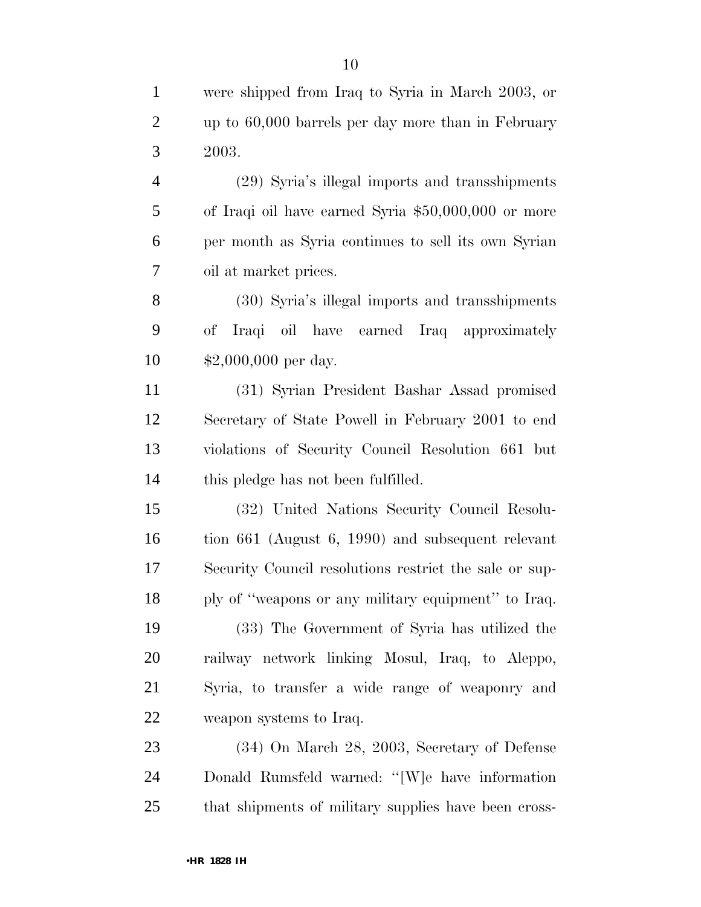were shipped from Iraq to Syria in March 2003, or up to 60,000 barrels per day more than in February 2003.

 (29) Syria's illegal imports and transshipments of Iraqi oil have earned Syria \$50,000,000 or more per month as Syria continues to sell its own Syrian oil at market prices.

 (30) Syria's illegal imports and transshipments of Iraqi oil have earned Iraq approximately \$2,000,000 per day.

 (31) Syrian President Bashar Assad promised Secretary of State Powell in February 2001 to end violations of Security Council Resolution 661 but this pledge has not been fulfilled.

 (32) United Nations Security Council Resolu- tion 661 (August 6, 1990) and subsequent relevant Security Council resolutions restrict the sale or sup-ply of ''weapons or any military equipment'' to Iraq.

 (33) The Government of Syria has utilized the railway network linking Mosul, Iraq, to Aleppo, Syria, to transfer a wide range of weaponry and weapon systems to Iraq.

 (34) On March 28, 2003, Secretary of Defense Donald Rumsfeld warned: ''[W]e have information that shipments of military supplies have been cross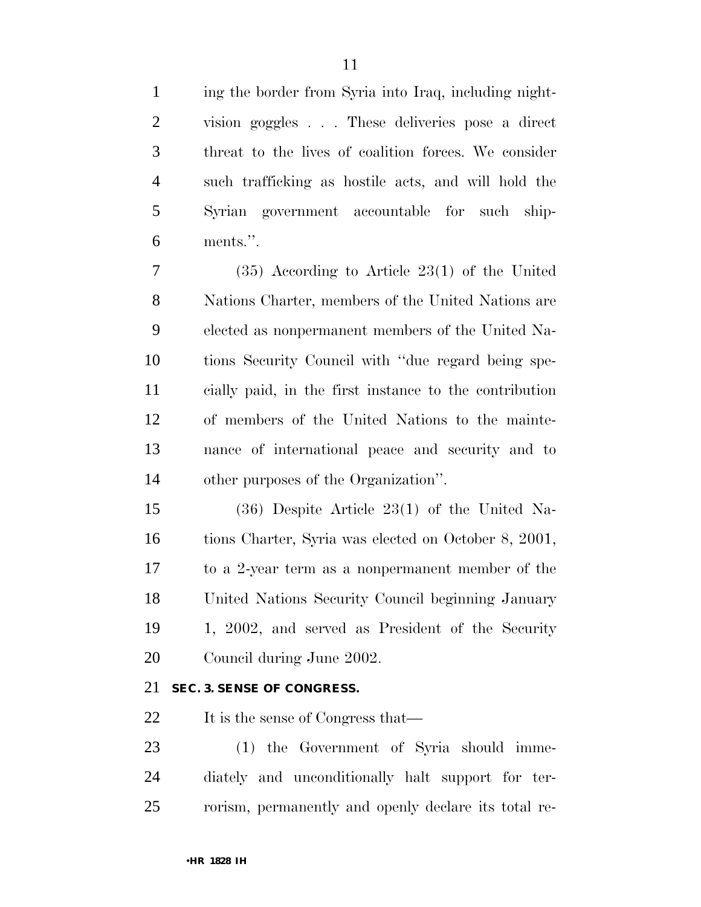ing the border from Syria into Iraq, including night- vision goggles . . . These deliveries pose a direct threat to the lives of coalition forces. We consider such trafficking as hostile acts, and will hold the Syrian government accountable for such ship-ments.''.

 (35) According to Article 23(1) of the United Nations Charter, members of the United Nations are elected as nonpermanent members of the United Na- tions Security Council with ''due regard being spe- cially paid, in the first instance to the contribution of members of the United Nations to the mainte- nance of international peace and security and to other purposes of the Organization''.

 (36) Despite Article 23(1) of the United Na- tions Charter, Syria was elected on October 8, 2001, to a 2-year term as a nonpermanent member of the United Nations Security Council beginning January 1, 2002, and served as President of the Security Council during June 2002.

#### **SEC. 3. SENSE OF CONGRESS.**

22 It is the sense of Congress that—

 (1) the Government of Syria should imme- diately and unconditionally halt support for ter-rorism, permanently and openly declare its total re-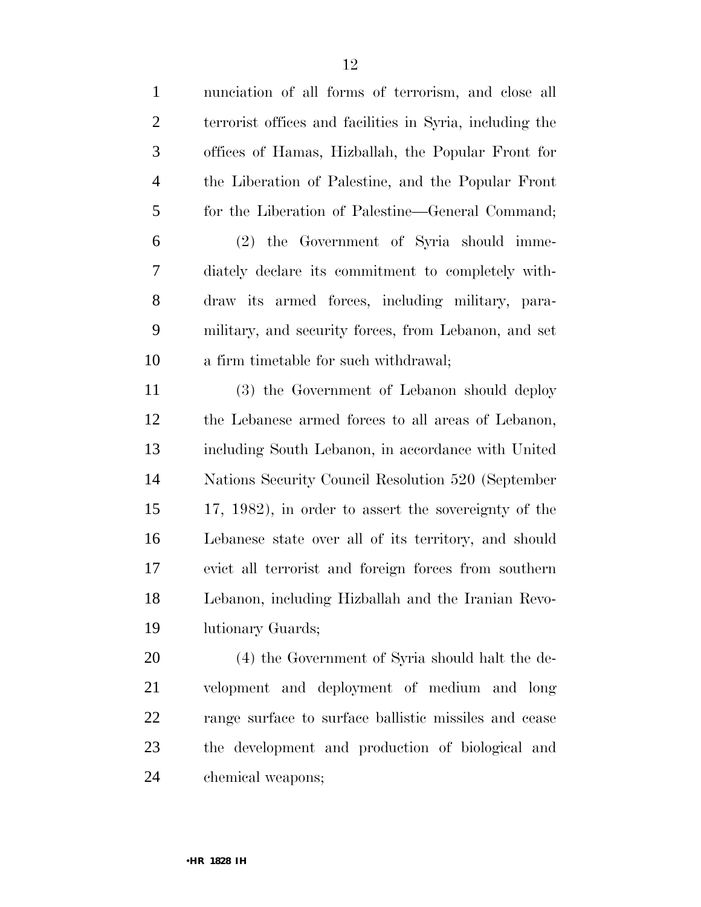| $\mathbf{1}$   | nunciation of all forms of terrorism, and close all      |
|----------------|----------------------------------------------------------|
| $\overline{2}$ | terrorist offices and facilities in Syria, including the |
| 3              | offices of Hamas, Hizballah, the Popular Front for       |
| $\overline{4}$ | the Liberation of Palestine, and the Popular Front       |
| 5              | for the Liberation of Palestine—General Command;         |
| 6              | (2) the Government of Syria should imme-                 |
| 7              | diately declare its commitment to completely with-       |
| 8              | draw its armed forces, including military, para-         |
| 9              | military, and security forces, from Lebanon, and set     |
| 10             | a firm timetable for such withdrawal;                    |
| 11             | (3) the Government of Lebanon should deploy              |
| 12             | the Lebanese armed forces to all areas of Lebanon,       |
| 13             | including South Lebanon, in accordance with United       |
| 14             | Nations Security Council Resolution 520 (September       |
| 15             | 17, 1982), in order to assert the sovereignty of the     |
| 16             | Lebanese state over all of its territory, and should     |
| 17             | evict all terrorist and foreign forces from southern     |
| 18             | Lebanon, including Hizballah and the Iranian Revo-       |
| 19             | lutionary Guards;                                        |
| 20             | (4) the Government of Syria should halt the de-          |
| 21             | velopment and deployment of medium and long              |
| 22             | range surface to surface ballistic missiles and cease    |
| 23             | the development and production of biological and         |
| 24             | chemical weapons;                                        |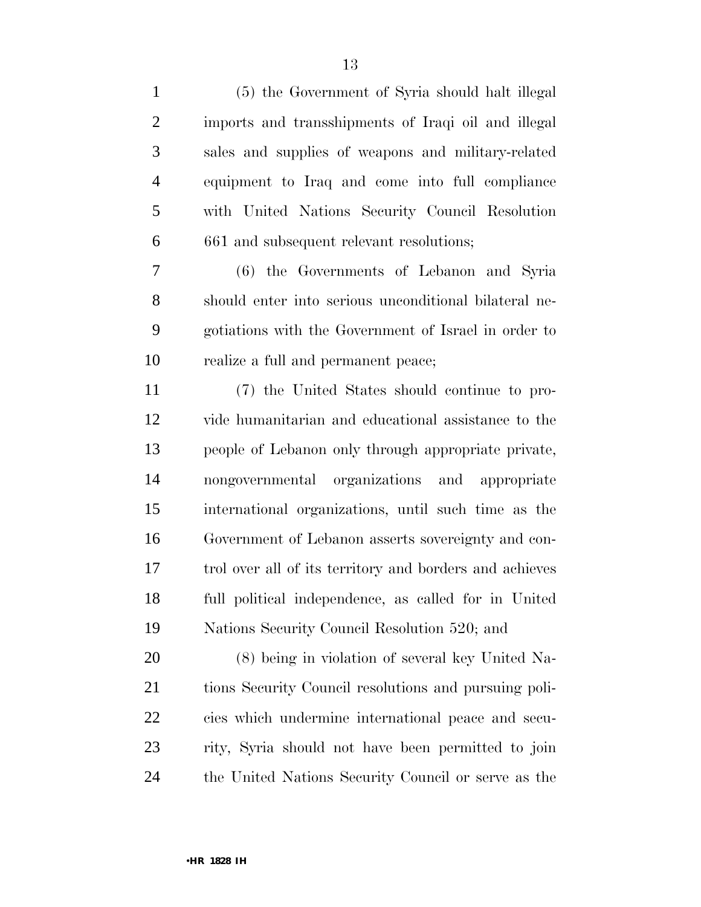| $\mathbf{1}$   | (5) the Government of Syria should halt illegal         |
|----------------|---------------------------------------------------------|
| $\overline{2}$ | imports and transshipments of Iraqi oil and illegal     |
| $\mathfrak{Z}$ | sales and supplies of weapons and military-related      |
| $\overline{4}$ | equipment to Iraq and come into full compliance         |
| $\mathfrak{S}$ | with United Nations Security Council Resolution         |
| 6              | 661 and subsequent relevant resolutions;                |
| 7              | (6) the Governments of Lebanon and Syria                |
| 8              | should enter into serious unconditional bilateral ne-   |
| 9              | gotiations with the Government of Israel in order to    |
| 10             | realize a full and permanent peace;                     |
| 11             | (7) the United States should continue to pro-           |
| 12             | vide humanitarian and educational assistance to the     |
| 13             | people of Lebanon only through appropriate private,     |
| 14             | nongovernmental organizations and appropriate           |
| 15             | international organizations, until such time as the     |
| 16             | Government of Lebanon asserts sovereignty and con-      |
| 17             | trol over all of its territory and borders and achieves |
| 18             | full political independence, as called for in United    |
| 19             | Nations Security Council Resolution 520; and            |
| 20             | (8) being in violation of several key United Na-        |
| 21             | tions Security Council resolutions and pursuing poli-   |
| 22             | cies which undermine international peace and secu-      |
| 23             | rity, Syria should not have been permitted to join      |
| 24             | the United Nations Security Council or serve as the     |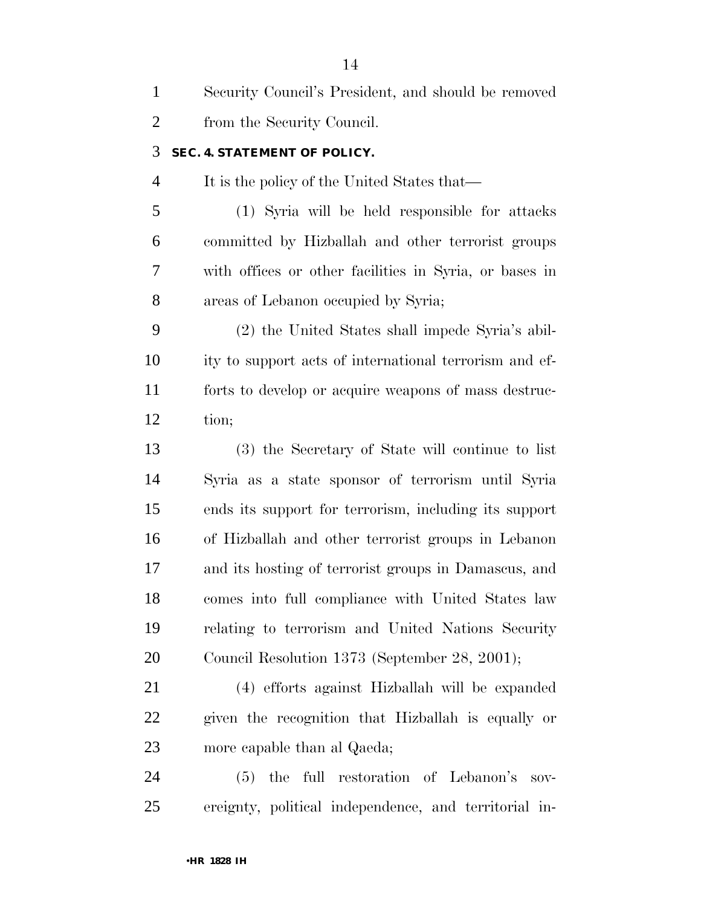| $\mathbf{1}$   | Security Council's President, and should be removed    |
|----------------|--------------------------------------------------------|
| $\overline{2}$ | from the Security Council.                             |
| 3              | SEC. 4. STATEMENT OF POLICY.                           |
| $\overline{4}$ | It is the policy of the United States that—            |
| 5              | (1) Syria will be held responsible for attacks         |
| 6              | committed by Hizballah and other terrorist groups      |
| 7              | with offices or other facilities in Syria, or bases in |
| 8              | areas of Lebanon occupied by Syria;                    |
| 9              | (2) the United States shall impede Syria's abil-       |
| 10             | ity to support acts of international terrorism and ef- |
| 11             | forts to develop or acquire weapons of mass destruc-   |
| 12             | tion;                                                  |
| 13             | (3) the Secretary of State will continue to list       |
| 14             | Syria as a state sponsor of terrorism until Syria      |
| 15             | ends its support for terrorism, including its support  |
| 16             | of Hizballah and other terrorist groups in Lebanon     |
| 17             | and its hosting of terrorist groups in Damascus, and   |
| 18             | comes into full compliance with United States law      |
| 19             | relating to terrorism and United Nations Security      |
| 20             | Council Resolution 1373 (September 28, 2001);          |
| 21             | (4) efforts against Hizballah will be expanded         |
| 22             | given the recognition that Hizballah is equally or     |
| 23             | more capable than al Qaeda;                            |
| 24             | (5) the full restoration of Lebanon's<br>$SOV$ -       |
| 25             | ereignty, political independence, and territorial in-  |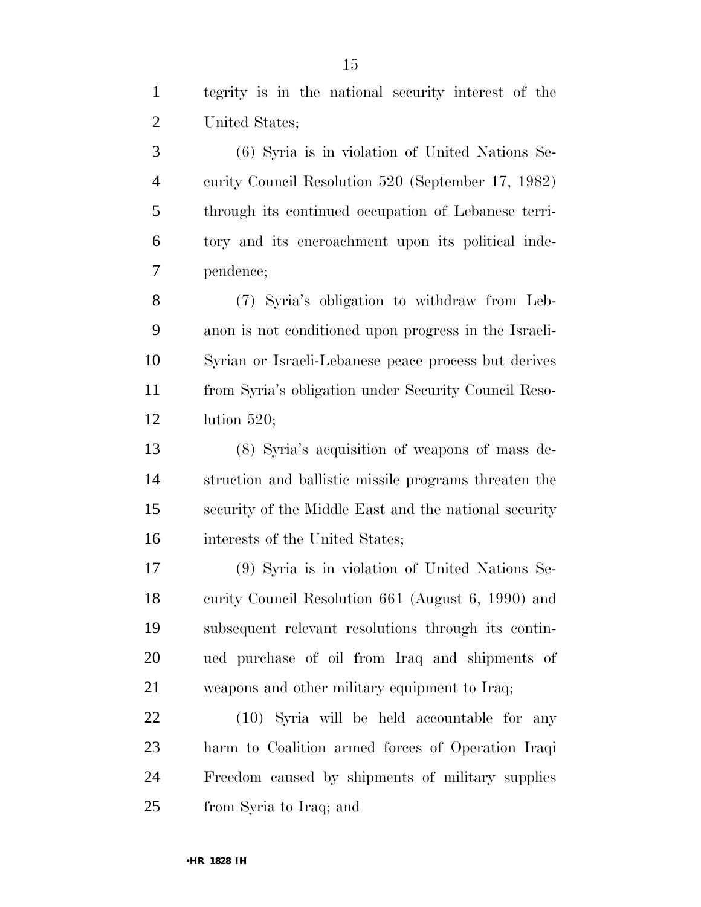tegrity is in the national security interest of the United States;

 (6) Syria is in violation of United Nations Se- curity Council Resolution 520 (September 17, 1982) through its continued occupation of Lebanese terri- tory and its encroachment upon its political inde-pendence;

 (7) Syria's obligation to withdraw from Leb- anon is not conditioned upon progress in the Israeli- Syrian or Israeli-Lebanese peace process but derives from Syria's obligation under Security Council Reso-lution 520;

 (8) Syria's acquisition of weapons of mass de- struction and ballistic missile programs threaten the security of the Middle East and the national security interests of the United States;

 (9) Syria is in violation of United Nations Se- curity Council Resolution 661 (August 6, 1990) and subsequent relevant resolutions through its contin- ued purchase of oil from Iraq and shipments of weapons and other military equipment to Iraq;

 (10) Syria will be held accountable for any harm to Coalition armed forces of Operation Iraqi Freedom caused by shipments of military supplies from Syria to Iraq; and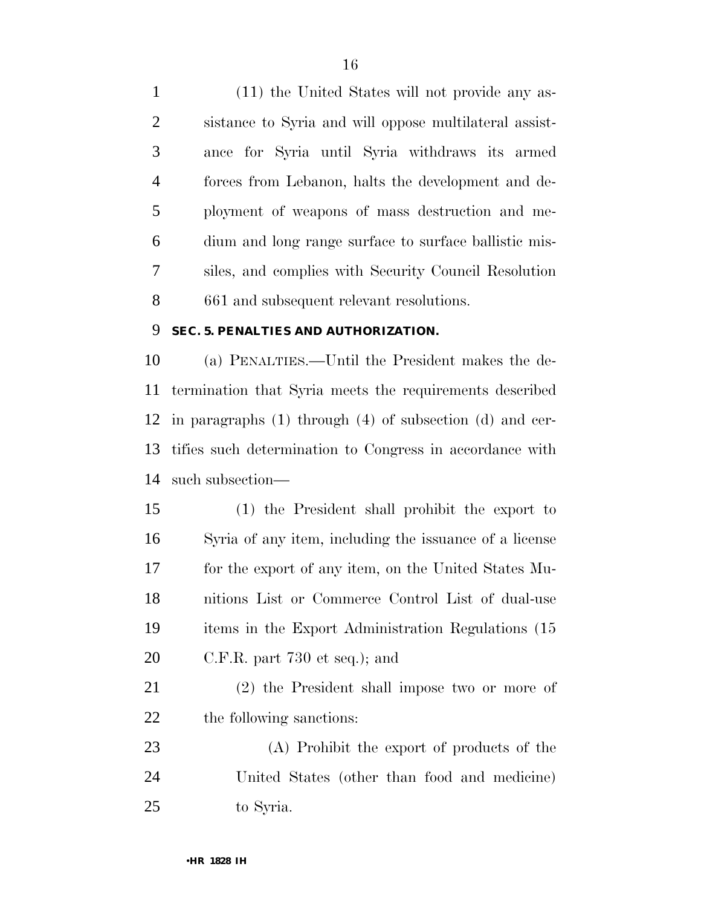(11) the United States will not provide any as- sistance to Syria and will oppose multilateral assist- ance for Syria until Syria withdraws its armed forces from Lebanon, halts the development and de- ployment of weapons of mass destruction and me- dium and long range surface to surface ballistic mis- siles, and complies with Security Council Resolution 661 and subsequent relevant resolutions.

#### **SEC. 5. PENALTIES AND AUTHORIZATION.**

 (a) PENALTIES.—Until the President makes the de- termination that Syria meets the requirements described in paragraphs (1) through (4) of subsection (d) and cer- tifies such determination to Congress in accordance with such subsection—

 (1) the President shall prohibit the export to Syria of any item, including the issuance of a license for the export of any item, on the United States Mu- nitions List or Commerce Control List of dual-use items in the Export Administration Regulations (15 C.F.R. part 730 et seq.); and

 (2) the President shall impose two or more of the following sanctions:

 (A) Prohibit the export of products of the United States (other than food and medicine) to Syria.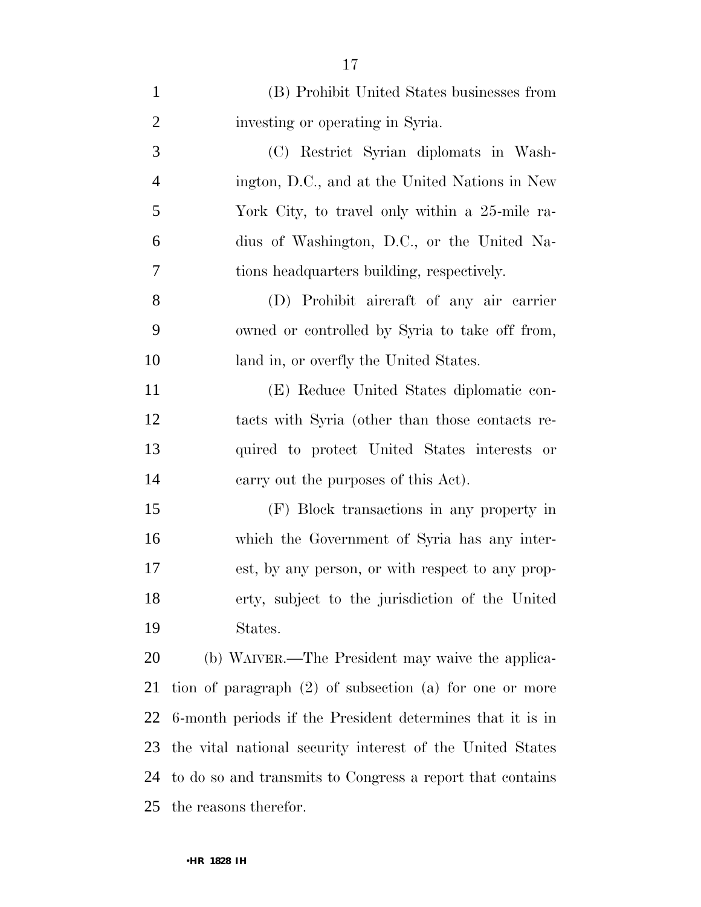| $\mathbf{1}$   | (B) Prohibit United States businesses from                  |
|----------------|-------------------------------------------------------------|
| $\overline{2}$ | investing or operating in Syria.                            |
| 3              | (C) Restrict Syrian diplomats in Wash-                      |
| $\overline{4}$ | ington, D.C., and at the United Nations in New              |
| 5              | York City, to travel only within a 25-mile ra-              |
| 6              | dius of Washington, D.C., or the United Na-                 |
| 7              | tions headquarters building, respectively.                  |
| 8              | (D) Prohibit aircraft of any air carrier                    |
| 9              | owned or controlled by Syria to take off from,              |
| 10             | land in, or overfly the United States.                      |
| 11             | (E) Reduce United States diplomatic con-                    |
| 12             | tacts with Syria (other than those contacts re-             |
| 13             | quired to protect United States interests or                |
| 14             | carry out the purposes of this Act).                        |
| 15             | (F) Block transactions in any property in                   |
| 16             | which the Government of Syria has any inter-                |
| 17             | est, by any person, or with respect to any prop-            |
| 18             | erty, subject to the jurisdiction of the United             |
| 19             | States.                                                     |
| 20             | (b) WAIVER.—The President may waive the applica-            |
| 21             | tion of paragraph $(2)$ of subsection $(a)$ for one or more |
| 22             | 6-month periods if the President determines that it is in   |
| 23             | the vital national security interest of the United States   |
| 24             | to do so and transmits to Congress a report that contains   |
| 25             | the reasons therefor.                                       |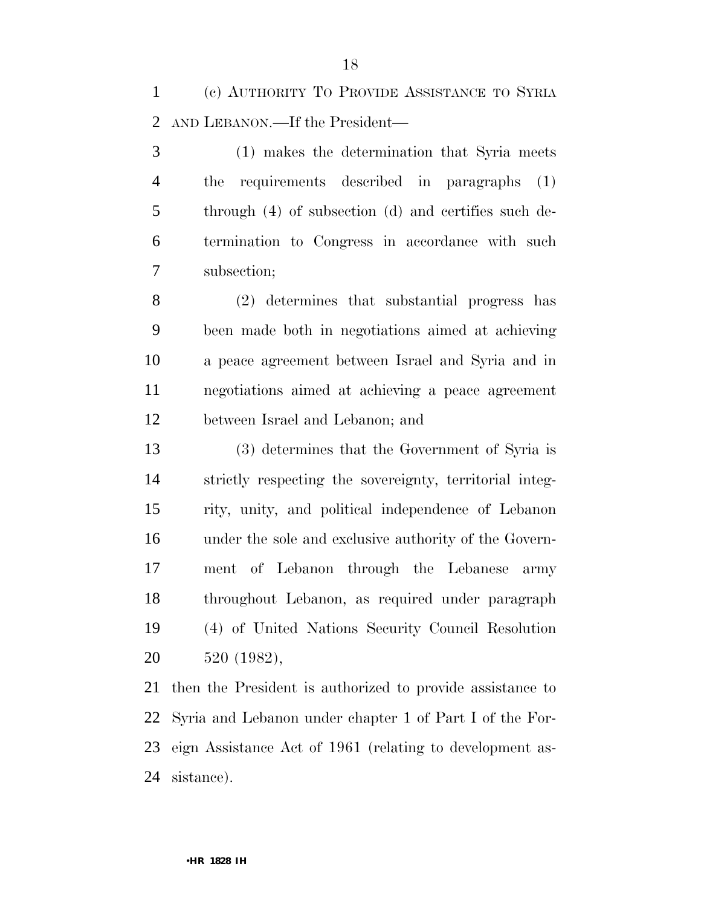(c) AUTHORITY TO PROVIDE ASSISTANCE TO SYRIA AND LEBANON.—If the President—

 (1) makes the determination that Syria meets the requirements described in paragraphs (1) through (4) of subsection (d) and certifies such de- termination to Congress in accordance with such subsection;

 (2) determines that substantial progress has been made both in negotiations aimed at achieving a peace agreement between Israel and Syria and in negotiations aimed at achieving a peace agreement between Israel and Lebanon; and

 (3) determines that the Government of Syria is strictly respecting the sovereignty, territorial integ- rity, unity, and political independence of Lebanon under the sole and exclusive authority of the Govern- ment of Lebanon through the Lebanese army throughout Lebanon, as required under paragraph (4) of United Nations Security Council Resolution 520 (1982),

 then the President is authorized to provide assistance to Syria and Lebanon under chapter 1 of Part I of the For- eign Assistance Act of 1961 (relating to development as-sistance).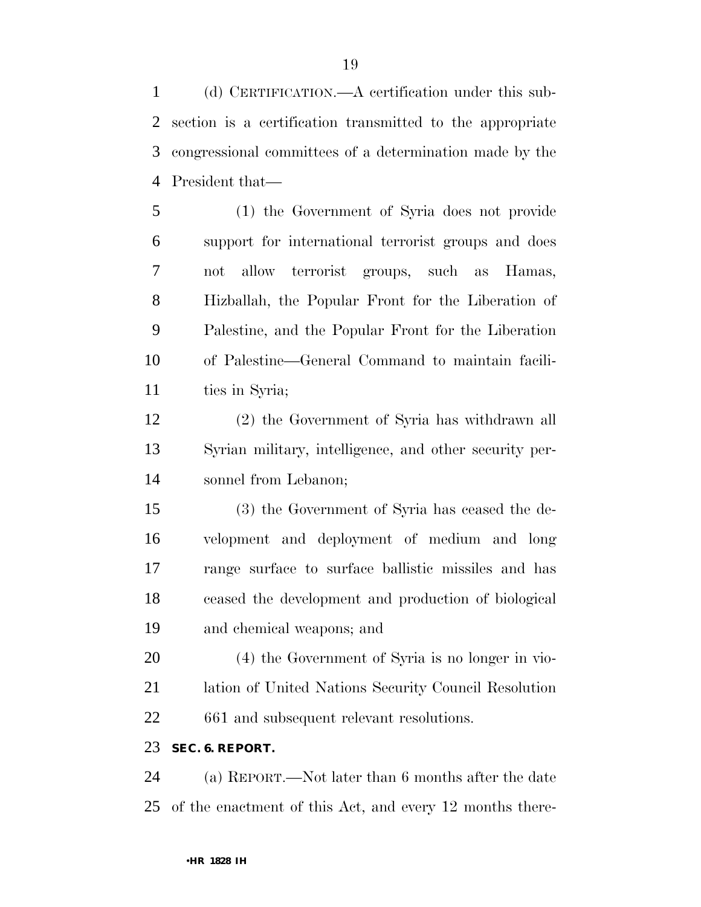(d) CERTIFICATION.—A certification under this sub- section is a certification transmitted to the appropriate congressional committees of a determination made by the President that—

 (1) the Government of Syria does not provide support for international terrorist groups and does not allow terrorist groups, such as Hamas, Hizballah, the Popular Front for the Liberation of Palestine, and the Popular Front for the Liberation of Palestine—General Command to maintain facili-ties in Syria;

 (2) the Government of Syria has withdrawn all Syrian military, intelligence, and other security per-sonnel from Lebanon;

 (3) the Government of Syria has ceased the de- velopment and deployment of medium and long range surface to surface ballistic missiles and has ceased the development and production of biological and chemical weapons; and

 (4) the Government of Syria is no longer in vio- lation of United Nations Security Council Resolution 661 and subsequent relevant resolutions.

#### **SEC. 6. REPORT.**

 (a) REPORT.—Not later than 6 months after the date of the enactment of this Act, and every 12 months there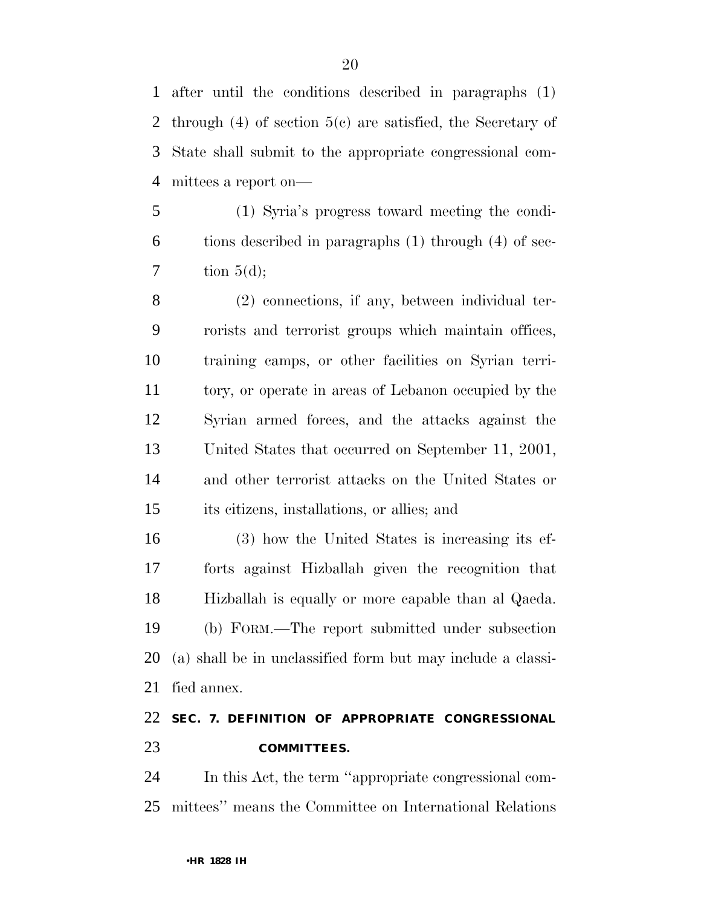after until the conditions described in paragraphs (1) through (4) of section 5(c) are satisfied, the Secretary of State shall submit to the appropriate congressional com-mittees a report on—

 (1) Syria's progress toward meeting the condi- tions described in paragraphs (1) through (4) of sec- $7 \quad \text{tion } 5(\text{d})$ ;

 (2) connections, if any, between individual ter- rorists and terrorist groups which maintain offices, training camps, or other facilities on Syrian terri- tory, or operate in areas of Lebanon occupied by the Syrian armed forces, and the attacks against the United States that occurred on September 11, 2001, and other terrorist attacks on the United States or its citizens, installations, or allies; and

 (3) how the United States is increasing its ef- forts against Hizballah given the recognition that Hizballah is equally or more capable than al Qaeda. (b) FORM.—The report submitted under subsection (a) shall be in unclassified form but may include a classi-fied annex.

## **SEC. 7. DEFINITION OF APPROPRIATE CONGRESSIONAL COMMITTEES.**

 In this Act, the term ''appropriate congressional com-mittees'' means the Committee on International Relations